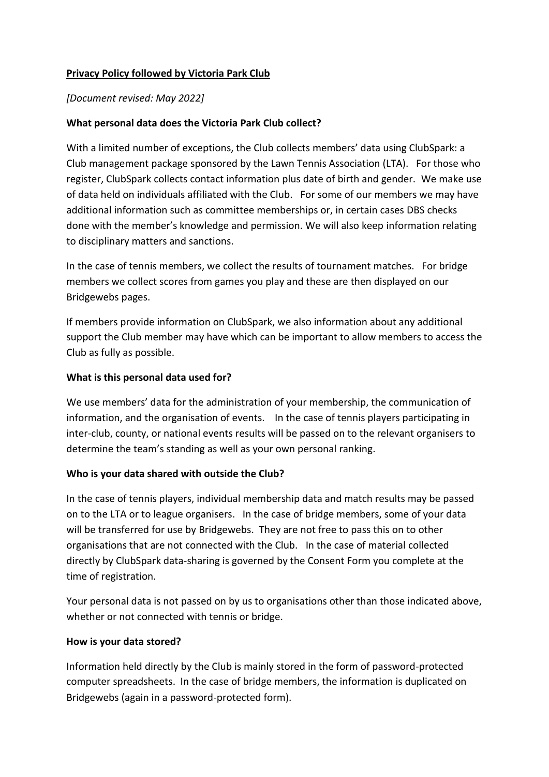# **Privacy Policy followed by Victoria Park Club**

## *[Document revised: May 2022]*

## **What personal data does the Victoria Park Club collect?**

With a limited number of exceptions, the Club collects members' data using ClubSpark: a Club management package sponsored by the Lawn Tennis Association (LTA). For those who register, ClubSpark collects contact information plus date of birth and gender. We make use of data held on individuals affiliated with the Club. For some of our members we may have additional information such as committee memberships or, in certain cases DBS checks done with the member's knowledge and permission. We will also keep information relating to disciplinary matters and sanctions.

In the case of tennis members, we collect the results of tournament matches. For bridge members we collect scores from games you play and these are then displayed on our Bridgewebs pages.

If members provide information on ClubSpark, we also information about any additional support the Club member may have which can be important to allow members to access the Club as fully as possible.

#### **What is this personal data used for?**

We use members' data for the administration of your membership, the communication of information, and the organisation of events. In the case of tennis players participating in inter-club, county, or national events results will be passed on to the relevant organisers to determine the team's standing as well as your own personal ranking.

#### **Who is your data shared with outside the Club?**

In the case of tennis players, individual membership data and match results may be passed on to the LTA or to league organisers. In the case of bridge members, some of your data will be transferred for use by Bridgewebs.They are not free to pass this on to other organisations that are not connected with the Club. In the case of material collected directly by ClubSpark data-sharing is governed by the Consent Form you complete at the time of registration.

Your personal data is not passed on by us to organisations other than those indicated above, whether or not connected with tennis or bridge.

#### **How is your data stored?**

Information held directly by the Club is mainly stored in the form of password-protected computer spreadsheets. In the case of bridge members, the information is duplicated on Bridgewebs (again in a password-protected form).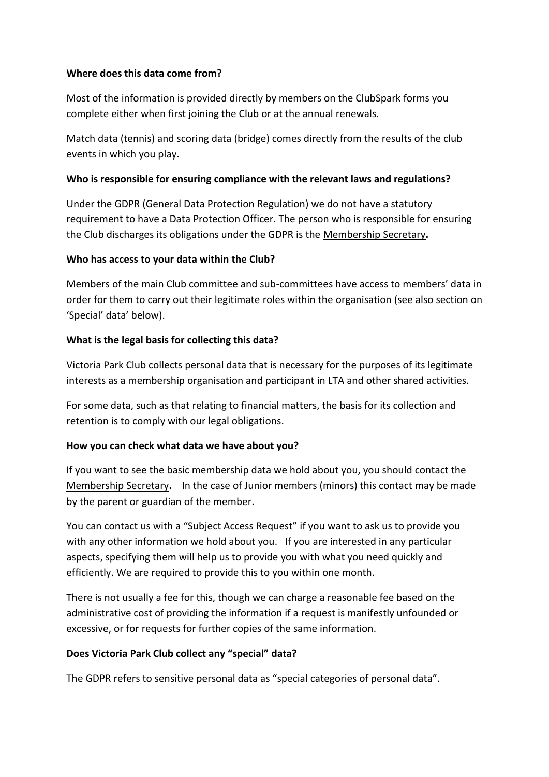## **Where does this data come from?**

Most of the information is provided directly by members on the ClubSpark forms you complete either when first joining the Club or at the annual renewals.

Match data (tennis) and scoring data (bridge) comes directly from the results of the club events in which you play.

## **Who is responsible for ensuring compliance with the relevant laws and regulations?**

Under the GDPR (General Data Protection Regulation) we do not have a statutory requirement to have a Data Protection Officer. The person who is responsible for ensuring the Club discharges its obligations under the GDPR is the Membership Secretary**.**

#### **Who has access to your data within the Club?**

Members of the main Club committee and sub-committees have access to members' data in order for them to carry out their legitimate roles within the organisation (see also section on 'Special' data' below).

#### **What is the legal basis for collecting this data?**

Victoria Park Club collects personal data that is necessary for the purposes of its legitimate interests as a membership organisation and participant in LTA and other shared activities.

For some data, such as that relating to financial matters, the basis for its collection and retention is to comply with our legal obligations.

## **How you can check what data we have about you?**

If you want to see the basic membership data we hold about you, you should contact the Membership Secretary**.** In the case of Junior members (minors) this contact may be made by the parent or guardian of the member.

You can contact us with a "Subject Access Request" if you want to ask us to provide you with any other information we hold about you. If you are interested in any particular aspects, specifying them will help us to provide you with what you need quickly and efficiently. We are required to provide this to you within one month.

There is not usually a fee for this, though we can charge a reasonable fee based on the administrative cost of providing the information if a request is manifestly unfounded or excessive, or for requests for further copies of the same information.

#### **Does Victoria Park Club collect any "special" data?**

The GDPR refers to sensitive personal data as "special categories of personal data".